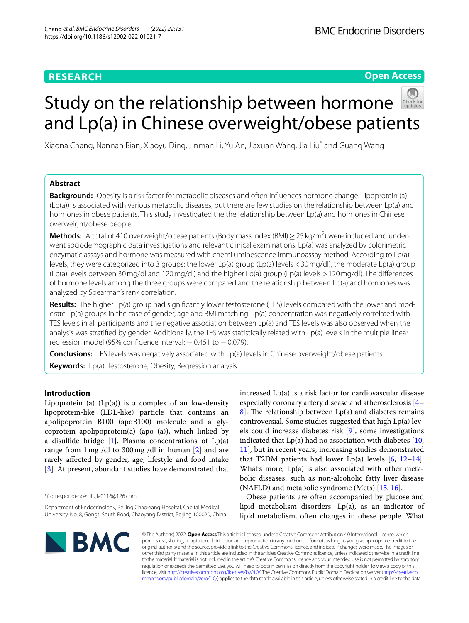## **RESEARCH**

**Open Access**

# Study on the relationship between hormone and Lp(a) in Chinese overweight/obese patients

Xiaona Chang, Nannan Bian, Xiaoyu Ding, Jinman Li, Yu An, Jiaxuan Wang, Jia Liu\* and Guang Wang

## **Abstract**

**Background:** Obesity is a risk factor for metabolic diseases and often infuences hormone change. Lipoprotein (a)  $(Lp(a))$  is associated with various metabolic diseases, but there are few studies on the relationship between  $Lp(a)$  and hormones in obese patients. This study investigated the the relationship between Lp(a) and hormones in Chinese overweight/obese people.

**Methods:** A total of 410 overweight/obese patients (Body mass index (BMI) ≥ 25 kg/m<sup>2</sup>) were included and underwent sociodemographic data investigations and relevant clinical examinations. Lp(a) was analyzed by colorimetric enzymatic assays and hormone was measured with chemiluminescence immunoassay method. According to Lp(a) levels, they were categorized into 3 groups: the lower Lp(a) group (Lp(a) levels <30mg/dl), the moderate Lp(a) group (Lp(a) levels between 30mg/dl and 120mg/dl) and the higher Lp(a) group (Lp(a) levels >120mg/dl). The diferences of hormone levels among the three groups were compared and the relationship between Lp(a) and hormones was analyzed by Spearman's rank correlation.

**Results:** The higher Lp(a) group had signifcantly lower testosterone (TES) levels compared with the lower and moderate Lp(a) groups in the case of gender, age and BMI matching. Lp(a) concentration was negatively correlated with TES levels in all participants and the negative association between Lp(a) and TES levels was also observed when the analysis was stratifed by gender. Additionally, the TES was statistically related with Lp(a) levels in the multiple linear regression model (95% confidence interval:  $-0.451$  to  $-0.079$ ).

**Conclusions:** TES levels was negatively associated with Lp(a) levels in Chinese overweight/obese patients.

**Keywords:** Lp(a), Testosterone, Obesity, Regression analysis

## **Introduction**

Lipoprotein (a)  $(Lp(a))$  is a complex of an low-density lipoprotein-like (LDL-like) particle that contains an apolipoprotein B100 (apoB100) molecule and a glycoprotein apolipoprotein(a) (apo (a)), which linked by a disulfide bridge  $[1]$  $[1]$ . Plasma concentrations of  $Lp(a)$ range from 1mg /dl to 300mg /dl in human [\[2](#page-4-1)] and are rarely afected by gender, age, lifestyle and food intake [[3\]](#page-4-2). At present, abundant studies have demonstrated that

\*Correspondence: liujia0116@126.com

increased Lp(a) is a risk factor for cardiovascular disease especially coronary artery disease and atherosclerosis [[4–](#page-4-3) [8\]](#page-5-0). The relationship between  $Lp(a)$  and diabetes remains controversial. Some studies suggested that high Lp(a) levels could increase diabetes risk [[9\]](#page-5-1), some investigations indicated that  $Lp(a)$  had no association with diabetes  $[10,$  $[10,$  $[10,$ [11\]](#page-5-3), but in recent years, increasing studies demonstrated that T2DM patients had lower Lp(a) levels  $[6, 12-14]$  $[6, 12-14]$  $[6, 12-14]$  $[6, 12-14]$ . What's more, Lp(a) is also associated with other metabolic diseases, such as non-alcoholic fatty liver disease (NAFLD) and metabolic syndrome (Mets) [[15,](#page-5-7) [16](#page-5-8)].

Obese patients are often accompanied by glucose and lipid metabolism disorders. Lp(a), as an indicator of lipid metabolism, often changes in obese people. What



© The Author(s) 2022. **Open Access** This article is licensed under a Creative Commons Attribution 4.0 International License, which permits use, sharing, adaptation, distribution and reproduction in any medium or format, as long as you give appropriate credit to the original author(s) and the source, provide a link to the Creative Commons licence, and indicate if changes were made. The images or other third party material in this article are included in the article's Creative Commons licence, unless indicated otherwise in a credit line to the material. If material is not included in the article's Creative Commons licence and your intended use is not permitted by statutory regulation or exceeds the permitted use, you will need to obtain permission directly from the copyright holder. To view a copy of this licence, visit [http://creativecommons.org/licenses/by/4.0/.](http://creativecommons.org/licenses/by/4.0/) The Creative Commons Public Domain Dedication waiver ([http://creativeco](http://creativecommons.org/publicdomain/zero/1.0/) [mmons.org/publicdomain/zero/1.0/](http://creativecommons.org/publicdomain/zero/1.0/)) applies to the data made available in this article, unless otherwise stated in a credit line to the data.

Department of Endocrinology, Beijing Chao-Yang Hospital, Capital Medical University, No. 8, Gongti South Road, Chaoyang District, Beijing 100020, China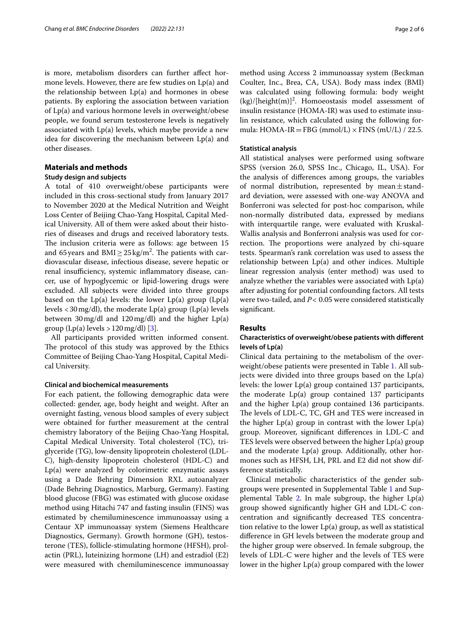is more, metabolism disorders can further afect hormone levels. However, there are few studies on Lp(a) and the relationship between  $Lp(a)$  and hormones in obese patients. By exploring the association between variation of Lp(a) and various hormone levels in overweight/obese people, we found serum testosterone levels is negatively associated with Lp(a) levels, which maybe provide a new idea for discovering the mechanism between Lp(a) and other diseases.

## **Materials and methods**

## **Study design and subjects**

A total of 410 overweight/obese participants were included in this cross-sectional study from January 2017 to November 2020 at the Medical Nutrition and Weight Loss Center of Beijing Chao-Yang Hospital, Capital Medical University. All of them were asked about their histories of diseases and drugs and received laboratory tests. The inclusion criteria were as follows: age between 15 and 65 years and  $\text{BMI} \geq 25 \,\text{kg/m}^2$ . The patients with cardiovascular disease, infectious disease, severe hepatic or renal insufficiency, systemic inflammatory disease, cancer, use of hypoglycemic or lipid-lowering drugs were excluded. All subjects were divided into three groups based on the  $Lp(a)$  levels: the lower  $Lp(a)$  group  $(Lp(a))$ levels  $<$  30 mg/dl), the moderate Lp(a) group (Lp(a) levels between 30mg/dl and 120mg/dl) and the higher Lp(a) group  $(Lp(a)$  levels  $>120$  mg/dl) [[3\]](#page-4-2).

All participants provided written informed consent. The protocol of this study was approved by the Ethics Committee of Beijing Chao-Yang Hospital, Capital Medical University.

#### **Clinical and biochemical measurements**

For each patient, the following demographic data were collected: gender, age, body height and weight. After an overnight fasting, venous blood samples of every subject were obtained for further measurement at the central chemistry laboratory of the Beijing Chao-Yang Hospital, Capital Medical University. Total cholesterol (TC), triglyceride (TG), low-density lipoprotein cholesterol (LDL-C), high-density lipoprotein cholesterol (HDL-C) and Lp(a) were analyzed by colorimetric enzymatic assays using a Dade Behring Dimension RXL autoanalyzer (Dade Behring Diagnostics, Marburg, Germany). Fasting blood glucose (FBG) was estimated with glucose oxidase method using Hitachi 747 and fasting insulin (FINS) was estimated by chemiluminescence immunoassay using a Centaur XP immunoassay system (Siemens Healthcare Diagnostics, Germany). Growth hormone (GH), testosterone (TES), follicle-stimulating hormone (HFSH), prolactin (PRL), luteinizing hormone (LH) and estradiol (E2) were measured with chemiluminescence immunoassay method using Access 2 immunoassay system (Beckman Coulter, Inc., Brea, CA, USA). Body mass index (BMI) was calculated using following formula: body weight  $(kg)/[\text{height}(m)]^2$ . Homoeostasis model assessment of insulin resistance (HOMA-IR) was used to estimate insulin resistance, which calculated using the following formula: HOMA-IR = FBG (mmol/L)  $\times$  FINS (mU/L) / 22.5.

#### **Statistical analysis**

All statistical analyses were performed using software SPSS (version 26.0, SPSS Inc., Chicago, IL, USA). For the analysis of diferences among groups, the variables of normal distribution, represented by mean $\pm$ standard deviation, were assessed with one-way ANOVA and Bonferroni was selected for post-hoc comparison, while non-normally distributed data, expressed by medians with interquartile range, were evaluated with Kruskal-Wallis analysis and Bonferroni analysis was used for correction. The proportions were analyzed by chi-square tests. Spearman's rank correlation was used to assess the relationship between Lp(a) and other indices. Multiple linear regression analysis (enter method) was used to analyze whether the variables were associated with  $Lp(a)$ after adjusting for potential confounding factors. All tests were two-tailed, and *P<* 0.05 were considered statistically signifcant.

## **Results**

## **Characteristics of overweight/obese patients with diferent levels of Lp(a)**

Clinical data pertaining to the metabolism of the overweight/obese patients were presented in Table [1](#page-2-0). All subjects were divided into three groups based on the Lp(a) levels: the lower Lp(a) group contained 137 participants, the moderate Lp(a) group contained 137 participants and the higher Lp(a) group contained 136 participants. The levels of LDL-C, TC, GH and TES were increased in the higher  $Lp(a)$  group in contrast with the lower  $Lp(a)$ group. Moreover, signifcant diferences in LDL-C and TES levels were observed between the higher Lp(a) group and the moderate Lp(a) group. Additionally, other hormones such as HFSH, LH, PRL and E2 did not show difference statistically.

Clinical metabolic characteristics of the gender subgroups were presented in Supplemental Table [1](#page-4-4) and Sup-plemental Table [2.](#page-4-4) In male subgroup, the higher  $Lp(a)$ group showed signifcantly higher GH and LDL-C concentration and signifcantly decreased TES concentration relative to the lower Lp(a) group, as well as statistical diference in GH levels between the moderate group and the higher group were observed. In female subgroup, the levels of LDL-C were higher and the levels of TES were lower in the higher Lp(a) group compared with the lower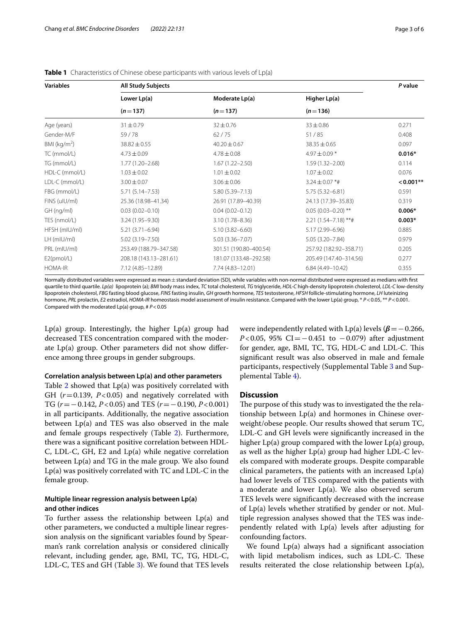| <b>Variables</b> | <b>All Study Subjects</b> |                        |                         |             |  |
|------------------|---------------------------|------------------------|-------------------------|-------------|--|
|                  | Lower Lp(a)               | Moderate Lp(a)         | Higher Lp(a)            |             |  |
|                  | $(n=137)$                 | $(n=137)$              | $(n=136)$               |             |  |
| Age (years)      | $31 \pm 0.79$             | $32 \pm 0.76$          | $33 \pm 0.86$           | 0.271       |  |
| Gender-M/F       | 59/78                     | 62/75                  | 51/85                   | 0.408       |  |
| BMI ( $kg/m2$ )  | $38.82 \pm 0.55$          | $40.20 \pm 0.67$       | $38.35 \pm 0.65$        | 0.097       |  |
| TC (mmol/L)      | $4.73 \pm 0.09$           | $4.78 \pm 0.08$        | 4.97 $\pm$ 0.09 $*$     | $0.016*$    |  |
| TG (mmol/L)      | $1.77(1.20 - 2.68)$       | $1.67(1.22 - 2.50)$    | $1.59(1.32 - 2.00)$     | 0.114       |  |
| HDL-C (mmol/L)   | $1.03 \pm 0.02$           | $1.01 \pm 0.02$        | $1.07 \pm 0.02$         | 0.076       |  |
| LDL-C (mmol/L)   | $3.00 \pm 0.07$           | $3.06 \pm 0.06$        | $3.24 \pm 0.07$ *#      | $< 0.001**$ |  |
| FBG (mmol/L)     | $5.71(5.14 - 7.53)$       | $5.80(5.39 - 7.13)$    | $5.75(5.32 - 6.81)$     | 0.591       |  |
| FINS (uIU/ml)    | 25.36 (18.98-41.34)       | 26.91 (17.89-40.39)    | 24.13 (17.39-35.83)     | 0.319       |  |
| GH (ng/ml)       | $0.03(0.02 - 0.10)$       | $0.04(0.02 - 0.12)$    | $0.05(0.03 - 0.20)$ **  | $0.006*$    |  |
| TES (nmol/L)     | 3.24 (1.95 - 9.30)        | $3.10(1.78 - 8.36)$    | $2.21(1.54 - 7.18)$ **# | $0.003*$    |  |
| HFSH (mIU/ml)    | $5.21(3.71 - 6.94)$       | $5.10(3.82 - 6.60)$    | 5.17 (2.99 - 6.96)      | 0.885       |  |
| $LH$ (mIU/mI)    | 5.02 (3.19 - 7.50)        | $5.03(3.36 - 7.07)$    | 5.05 (3.20-7.84)        | 0.979       |  |
| PRL (mIU/ml)     | 253.49 (188.79-347.58)    | 301.51 (190.80-400.54) | 257.92 (182.92-358.71)  | 0.205       |  |
| E2(pmol/L)       | 208.18 (143.13-281.61)    | 181.07 (133.48-292.58) | 205.49 (147.40-314.56)  | 0.277       |  |
| <b>HOMA-IR</b>   | 7.12 (4.85-12.89)         | 7.74 (4.83-12.01)      | $6.84(4.49 - 10.42)$    | 0.355       |  |

<span id="page-2-0"></span>**Table 1** Characteristics of Chinese obese participants with various levels of Lp(a)

Normally distributed variables were expressed as mean ± standard deviation (SD), while variables with non-normal distributed were expressed as medians with first quartile to third quartile. *Lp(a)* lipoprotein (a); *BMI* body mass index, *TC* total cholesterol, *TG* triglyceride, *HDL-C* high-density lipoprotein cholesterol, *LDL-C* low-density lipoprotein cholesterol, *FBG* fasting blood glucose, *FINS* fasting insulin, *GH* growth hormone, *TES* testosterone, *HFSH* follicle-stimulating hormone, *LH* luteinizing hormone, *PRL* prolactin, *E*2 estradiol, *HOMA-IR* homeostasis model assessment of insulin resistance. Compared with the lower Lp(a) group, \* *P*<0.05, \*\* *P*<0.001. Compared with the moderated Lp(a) group, # *P*<0.05

Lp(a) group. Interestingly, the higher  $Lp(a)$  group had decreased TES concentration compared with the moderate Lp(a) group. Other parameters did not show diference among three groups in gender subgroups.

#### **Correlation analysis between Lp(a) and other parameters**

Table [2](#page-3-0) showed that Lp(a) was positively correlated with GH (*r*=0.139, *P*<0.05) and negatively correlated with TG (*r*=−0.142, *P*<0.05) and TES (*r*=−0.190, *P*<0.001) in all participants. Additionally, the negative association between Lp(a) and TES was also observed in the male and female groups respectively (Table [2](#page-3-0)). Furthermore, there was a signifcant positive correlation between HDL-C, LDL-C, GH, E2 and Lp(a) while negative correlation between Lp(a) and TG in the male group. We also found Lp(a) was positively correlated with TC and LDL-C in the female group.

## **Multiple linear regression analysis between Lp(a) and other indices**

To further assess the relationship between Lp(a) and other parameters, we conducted a multiple linear regression analysis on the signifcant variables found by Spearman's rank correlation analysis or considered clinically relevant, including gender, age, BMI, TC, TG, HDL-C, LDL-C, TES and GH (Table [3](#page-3-1)). We found that TES levels were independently related with Lp(a) levels (*β*=−0.266, *P*<0.05, 95% CI = −0.451 to −0.079) after adjustment for gender, age, BMI, TC, TG, HDL-C and LDL-C. Tis signifcant result was also observed in male and female participants, respectively (Supplemental Table [3](#page-4-4) and Supplemental Table [4](#page-4-4)).

## **Discussion**

The purpose of this study was to investigated the the relationship between Lp(a) and hormones in Chinese overweight/obese people. Our results showed that serum TC, LDL-C and GH levels were signifcantly increased in the higher Lp(a) group compared with the lower Lp(a) group, as well as the higher Lp(a) group had higher LDL-C levels compared with moderate groups. Despite comparable clinical parameters, the patients with an increased  $Lp(a)$ had lower levels of TES compared with the patients with a moderate and lower Lp(a). We also observed serum TES levels were signifcantly decreased with the increase of Lp(a) levels whether stratifed by gender or not. Multiple regression analyses showed that the TES was independently related with Lp(a) levels after adjusting for confounding factors.

We found Lp(a) always had a signifcant association with lipid metabolism indices, such as LDL-C. These results reiterated the close relationship between Lp(a),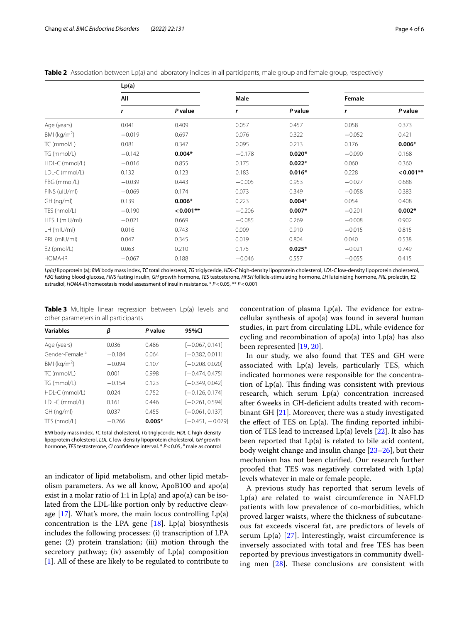<span id="page-3-0"></span>

| Table 2 Association between Lp(a) and laboratory indices in all participants, male group and female group, respectively |  |  |  |  |  |  |  |
|-------------------------------------------------------------------------------------------------------------------------|--|--|--|--|--|--|--|
|-------------------------------------------------------------------------------------------------------------------------|--|--|--|--|--|--|--|

|                 | Lp(a)    |           |          |          |          |             |
|-----------------|----------|-----------|----------|----------|----------|-------------|
|                 | All      |           | Male     |          | Female   |             |
|                 | r        | P value   | r        | P value  | r        | P value     |
| Age (years)     | 0.041    | 0.409     | 0.057    | 0.457    | 0.058    | 0.373       |
| BMI ( $kg/m2$ ) | $-0.019$ | 0.697     | 0.076    | 0.322    | $-0.052$ | 0.421       |
| TC (mmol/L)     | 0.081    | 0.347     | 0.095    | 0.213    | 0.176    | $0.006*$    |
| TG (mmol/L)     | $-0.142$ | $0.004*$  | $-0.178$ | $0.020*$ | $-0.090$ | 0.168       |
| HDL-C (mmol/L)  | $-0.016$ | 0.855     | 0.175    | $0.022*$ | 0.060    | 0.360       |
| LDL-C (mmol/L)  | 0.132    | 0.123     | 0.183    | $0.016*$ | 0.228    | $< 0.001**$ |
| FBG (mmol/L)    | $-0.039$ | 0.443     | $-0.005$ | 0.953    | $-0.027$ | 0.688       |
| FINS (uIU/ml)   | $-0.069$ | 0.174     | 0.073    | 0.349    | $-0.058$ | 0.383       |
| $GH$ (ng/ml)    | 0.139    | $0.006*$  | 0.223    | $0.004*$ | 0.054    | 0.408       |
| TES (nmol/L)    | $-0.190$ | $0.001**$ | $-0.206$ | $0.007*$ | $-0.201$ | $0.002*$    |
| HFSH (mIU/ml)   | $-0.021$ | 0.669     | $-0.085$ | 0.269    | $-0.008$ | 0.902       |
| LH (mIU/ml)     | 0.016    | 0.743     | 0.009    | 0.910    | $-0.015$ | 0.815       |
| PRL (mIU/ml)    | 0.047    | 0.345     | 0.019    | 0.804    | 0.040    | 0.538       |
| $E2$ (pmol/L)   | 0.063    | 0.210     | 0.175    | $0.025*$ | $-0.021$ | 0.749       |
| <b>HOMA-IR</b>  | $-0.067$ | 0.188     | $-0.046$ | 0.557    | $-0.055$ | 0.415       |

*Lp(a)* lipoprotein (a); *BMI* body mass index, *TC* total cholesterol, *TG* triglyceride, *HDL-C* high-density lipoprotein cholesterol, *LDL-C* low-density lipoprotein cholesterol, *FBG* fasting blood glucose, *FINS* fasting insulin, *GH* growth hormone, *TES* testosterone, *HFSH* follicle-stimulating hormone, *LH* luteinizing hormone, *PRL* prolactin, *E*2 estradiol, *HOMA-IR* homeostasis model assessment of insulin resistance. \* *P*<0.05, \*\* *P*<0.001

<span id="page-3-1"></span>**Table 3** Multiple linear regression between Lp(a) levels and other parameters in all participants

| <b>Variables</b>           | β        | P value  | 95%CI              |
|----------------------------|----------|----------|--------------------|
| Age (years)                | 0.036    | 0.486    | $[-0.067, 0.141]$  |
| Gender-Female <sup>a</sup> | $-0.184$ | 0.064    | $[-0.382, 0.011]$  |
| BMI ( $kg/m2$ )            | $-0.094$ | 0.107    | $[-0.208, 0.020]$  |
| TC (mmol/L)                | 0.001    | 0.998    | $[-0.474, 0.475]$  |
| TG (mmol/L)                | $-0.154$ | 0.123    | $[-0.349, 0.042]$  |
| HDL-C (mmol/L)             | 0024     | 0.752    | $[-0.126, 0.174]$  |
| LDL-C (mmol/L)             | 0.161    | 0446     | $[-0.261, 0.594]$  |
| $GH$ (ng/ml)               | 0.037    | 0.455    | $[-0.061, 0.137]$  |
| TES (nmol/L)               | $-0.266$ | $0.005*$ | $[-0.451, -0.079]$ |

*BMI* body mass index, *TC* total cholesterol, *TG* triglyceride, *HDL-C* high-density lipoprotein cholesterol, *LDL-C* low-density lipoprotein cholesterol, *GH* growth hormone, *TES* testosterone, *CI* confidence interval. \*  $P < 0.05$ , <sup>a</sup> male as control

an indicator of lipid metabolism, and other lipid metabolism parameters. As we all know, ApoB100 and apo(a) exist in a molar ratio of 1:1 in Lp(a) and apo(a) can be isolated from the LDL-like portion only by reductive cleavage  $[17]$  $[17]$ . What's more, the main locus controlling  $Lp(a)$ concentration is the LPA gene  $[18]$  $[18]$ . Lp(a) biosynthesis includes the following processes: (i) transcription of LPA gene; (2) protein translation; (iii) motion through the secretory pathway; (iv) assembly of Lp(a) composition [[1\]](#page-4-0). All of these are likely to be regulated to contribute to

concentration of plasma  $Lp(a)$ . The evidence for extracellular synthesis of apo(a) was found in several human studies, in part from circulating LDL, while evidence for cycling and recombination of apo(a) into Lp(a) has also been represented [[19,](#page-5-11) [20\]](#page-5-12).

In our study, we also found that TES and GH were associated with Lp(a) levels, particularly TES, which indicated hormones were responsible for the concentration of  $Lp(a)$ . This finding was consistent with previous research, which serum Lp(a) concentration increased after 6weeks in GH-defcient adults treated with recombinant GH [\[21\]](#page-5-13). Moreover, there was a study investigated the effect of TES on  $Lp(a)$ . The finding reported inhibition of TES lead to increased  $Lp(a)$  levels  $[22]$  $[22]$ . It also has been reported that Lp(a) is related to bile acid content, body weight change and insulin change [[23–](#page-5-15)[26](#page-5-16)], but their mechanism has not been clarifed. Our research further proofed that TES was negatively correlated with Lp(a) levels whatever in male or female people.

A previous study has reported that serum levels of Lp(a) are related to waist circumference in NAFLD patients with low prevalence of co-morbidities, which proved larger waists, where the thickness of subcutaneous fat exceeds visceral fat, are predictors of levels of serum  $Lp(a)$  [[27](#page-5-17)]. Interestingly, waist circumference is inversely associated with total and free TES has been reported by previous investigators in community dwelling men  $[28]$  $[28]$ . These conclusions are consistent with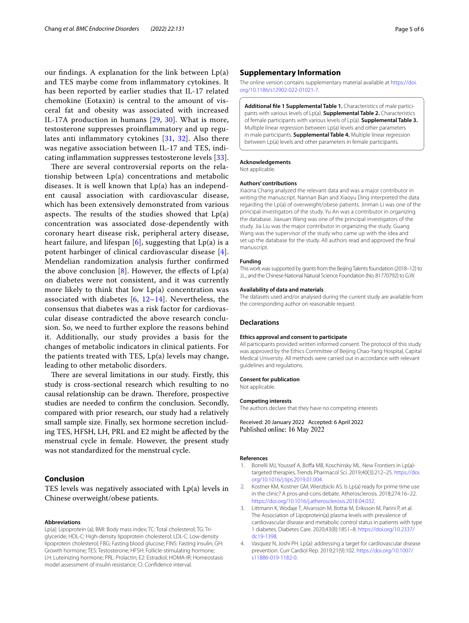our findings. A explanation for the link between  $Lp(a)$ and TES maybe come from infammatory cytokines. It has been reported by earlier studies that IL-17 related chemokine (Eotaxin) is central to the amount of visceral fat and obesity was associated with increased IL-17A production in humans [\[29](#page-5-19), [30\]](#page-5-20). What is more, testosterone suppresses proinfammatory and up regulates anti infammatory cytokines [\[31](#page-5-21), [32\]](#page-5-22). Also there was negative association between IL-17 and TES, indicating infammation suppresses testosterone levels [[33\]](#page-5-23).

There are several controversial reports on the relationship between Lp(a) concentrations and metabolic diseases. It is well known that Lp(a) has an independent causal association with cardiovascular disease, which has been extensively demonstrated from various aspects. The results of the studies showed that  $Lp(a)$ concentration was associated dose-dependently with coronary heart disease risk, peripheral artery disease, heart failure, and lifespan  $[6]$  $[6]$ , suggesting that  $Lp(a)$  is a potent harbinger of clinical cardiovascular disease [[4\]](#page-4-3). Mendelian randomization analysis further confrmed the above conclusion  $[8]$  $[8]$ . However, the effects of  $Lp(a)$ on diabetes were not consistent, and it was currently more likely to think that low  $Lp(a)$  concentration was associated with diabetes  $[6, 12-14]$  $[6, 12-14]$  $[6, 12-14]$  $[6, 12-14]$  $[6, 12-14]$  $[6, 12-14]$ . Nevertheless, the consensus that diabetes was a risk factor for cardiovascular disease contradicted the above research conclusion. So, we need to further explore the reasons behind it. Additionally, our study provides a basis for the changes of metabolic indicators in clinical patients. For the patients treated with TES, Lp(a) levels may change, leading to other metabolic disorders.

There are several limitations in our study. Firstly, this study is cross-sectional research which resulting to no causal relationship can be drawn. Therefore, prospective studies are needed to confrm the conclusion. Secondly, compared with prior research, our study had a relatively small sample size. Finally, sex hormone secretion including TES, HFSH, LH, PRL and E2 might be afected by the menstrual cycle in female. However, the present study was not standardized for the menstrual cycle.

#### **Conclusion**

TES levels was negatively associated with Lp(a) levels in Chinese overweight/obese patients.

#### **Abbreviations**

Lp(a): Lipoprotein (a); BMI: Body mass index; TC: Total cholesterol; TG: Triglyceride; HDL-C: High-density lipoprotein cholesterol; LDL-C: Low-density lipoprotein cholesterol; FBG: Fasting blood glucose; FINS: Fasting insulin; GH: Growth hormone; TES: Testosterone; HFSH: Follicle-stimulating hormone; LH: Luteinizing hormone; PRL: Prolactin; E2: Estradiol; HOMA-IR: Homeostasis model assessment of insulin resistance; CI: Confdence interval.

## **Supplementary Information**

The online version contains supplementary material available at [https://doi.](https://doi.org/10.1186/s12902-022-01021-7) [org/10.1186/s12902-022-01021-7](https://doi.org/10.1186/s12902-022-01021-7).

<span id="page-4-4"></span>**Additional fle 1 Supplemental Table 1.** Characteristics of male participants with various levels of Lp(a). **Supplemental Table 2.** Characteristics of female participants with various levels of Lp(a). **Supplemental Table 3.** Multiple linear regression between Lp(a) levels and other parameters in male participants. **Supplemental Table 4.** Multiple linear regression between Lp(a) levels and other parameters in female participants.

#### **Acknowledgements**

Not applicable.

#### **Authors' contributions**

Xiaona Chang analyzed the relevant data and was a major contributor in writing the manuscript. Nannan Bian and Xiaoyu Ding interpreted the data regarding the Lp(a) of overweight/obese patients. Jinman Li was one of the principal investigators of the study. Yu An was a contributor in organizing the database. Jiaxuan Wang was one of the principal investigators of the study. Jia Liu was the major contributor in organizing the study. Guang Wang was the supervisor of the study who came up with the idea and set up the database for the study. All authors read and approved the fnal manuscript.

#### **Funding**

This work was supported by grants from the Beijing Talents foundation (2018–12) to J.L.; and the Chinese National Natural Science Foundation (No. 81770792) to G.W.

#### **Availability of data and materials**

The datasets used and/or analysed during the current study are available from the corresponding author on reasonable request.

## **Declarations**

#### **Ethics approval and consent to participate**

All participants provided written informed consent. The protocol of this study was approved by the Ethics Committee of Beijing Chao-Yang Hospital, Capital Medical University. All methods were carried out in accordance with relevant guidelines and regulations.

#### **Consent for publication**

Not applicable.

#### **Competing interests**

The authors declare that they have no competing interests

Received: 20 January 2022 Accepted: 6 April 2022 Published online: 16 May 2022

#### **References**

- <span id="page-4-0"></span>1. Borrelli MJ, Youssef A, Boffa MB, Koschinsky ML. New Frontiers in Lp(a)targeted therapies. Trends Pharmacol Sci. 2019;40(3):212–25. [https://doi.](https://doi.org/10.1016/j.tips.2019.01.004) [org/10.1016/j.tips.2019.01.004.](https://doi.org/10.1016/j.tips.2019.01.004)
- <span id="page-4-1"></span>2. Kostner KM, Kostner GM, Wierzbicki AS. Is Lp(a) ready for prime time use in the clinic? A pros-and-cons debate. Atherosclerosis. 2018;274:16–22. <https://doi.org/10.1016/j.atherosclerosis.2018.04.032>.
- <span id="page-4-2"></span>3. Littmann K, Wodaje T, Alvarsson M, Bottai M, Eriksson M, Parini P, et al. The Association of Lipoprotein(a) plasma levels with prevalence of cardiovascular disease and metabolic control status in patients with type 1 diabetes. Diabetes Care. 2020;43(8):1851–8. [https://doi.org/10.2337/](https://doi.org/10.2337/dc19-1398) [dc19-1398](https://doi.org/10.2337/dc19-1398).
- <span id="page-4-3"></span>4. Vasquez N, Joshi PH. Lp(a): addressing a target for cardiovascular disease prevention. Curr Cardiol Rep. 2019;21(9):102. [https://doi.org/10.1007/](https://doi.org/10.1007/s11886-019-1182-0) [s11886-019-1182-0.](https://doi.org/10.1007/s11886-019-1182-0)